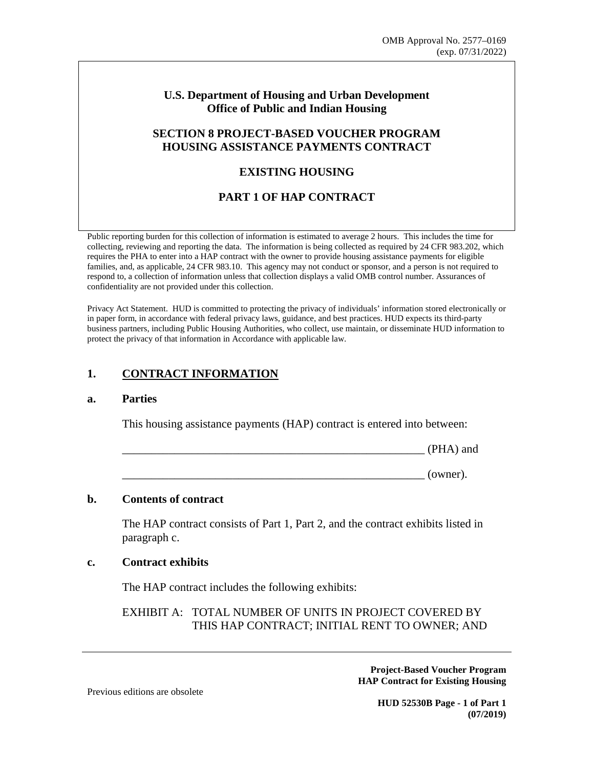## **U.S. Department of Housing and Urban Development Office of Public and Indian Housing**

## **SECTION 8 PROJECT-BASED VOUCHER PROGRAM HOUSING ASSISTANCE PAYMENTS CONTRACT**

## **EXISTING HOUSING**

# **PART 1 OF HAP CONTRACT**

Public reporting burden for this collection of information is estimated to average 2 hours. This includes the time for collecting, reviewing and reporting the data. The information is being collected as required by 24 CFR 983.202, which requires the PHA to enter into a HAP contract with the owner to provide housing assistance payments for eligible families, and, as applicable, 24 CFR 983.10. This agency may not conduct or sponsor, and a person is not required to respond to, a collection of information unless that collection displays a valid OMB control number. Assurances of confidentiality are not provided under this collection.

Privacy Act Statement. HUD is committed to protecting the privacy of individuals' information stored electronically or in paper form, in accordance with federal privacy laws, guidance, and best practices. HUD expects its third-party business partners, including Public Housing Authorities, who collect, use maintain, or disseminate HUD information to protect the privacy of that information in Accordance with applicable law.

# **1. CONTRACT INFORMATION**

#### **a. Parties**

This housing assistance payments (HAP) contract is entered into between:

 $(PHA)$  and

 $(owner).$ 

#### **b. Contents of contract**

The HAP contract consists of Part 1, Part 2, and the contract exhibits listed in paragraph c.

#### **c. Contract exhibits**

The HAP contract includes the following exhibits:

EXHIBIT A: TOTAL NUMBER OF UNITS IN PROJECT COVERED BY THIS HAP CONTRACT; INITIAL RENT TO OWNER; AND

> **Project-Based Voucher Program HAP Contract for Existing Housing**

Previous editions are obsolete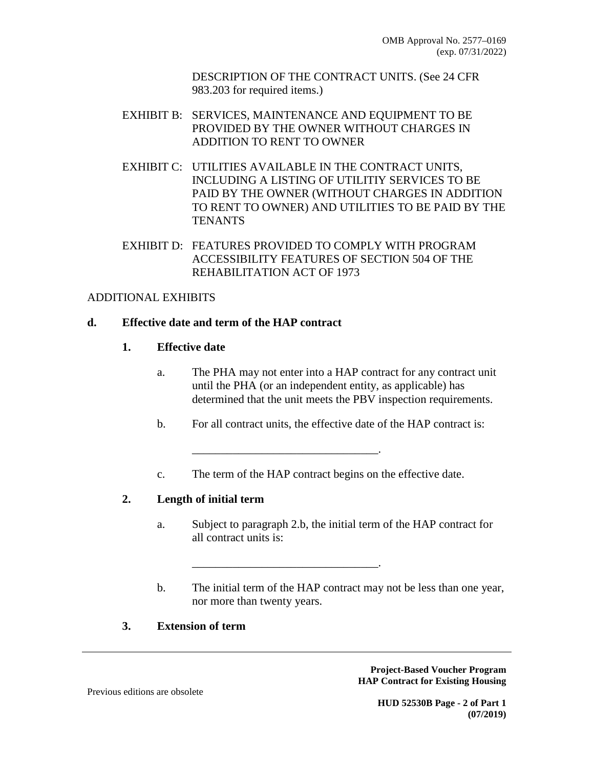DESCRIPTION OF THE CONTRACT UNITS. (See 24 CFR 983.203 for required items.)

- EXHIBIT B: SERVICES, MAINTENANCE AND EQUIPMENT TO BE PROVIDED BY THE OWNER WITHOUT CHARGES IN ADDITION TO RENT TO OWNER
- EXHIBIT C: UTILITIES AVAILABLE IN THE CONTRACT UNITS, INCLUDING A LISTING OF UTILITIY SERVICES TO BE PAID BY THE OWNER (WITHOUT CHARGES IN ADDITION TO RENT TO OWNER) AND UTILITIES TO BE PAID BY THE TENANTS
- EXHIBIT D: FEATURES PROVIDED TO COMPLY WITH PROGRAM ACCESSIBILITY FEATURES OF SECTION 504 OF THE REHABILITATION ACT OF 1973

## ADDITIONAL EXHIBITS

## **d. Effective date and term of the HAP contract**

## **1. Effective date**

- a. The PHA may not enter into a HAP contract for any contract unit until the PHA (or an independent entity, as applicable) has determined that the unit meets the PBV inspection requirements.
- b. For all contract units, the effective date of the HAP contract is:
- c. The term of the HAP contract begins on the effective date.

\_\_\_\_\_\_\_\_\_\_\_\_\_\_\_\_\_\_\_\_\_\_\_\_\_\_\_\_\_\_\_\_.

\_\_\_\_\_\_\_\_\_\_\_\_\_\_\_\_\_\_\_\_\_\_\_\_\_\_\_\_\_\_\_\_.

# **2. Length of initial term**

- a. Subject to paragraph 2.b, the initial term of the HAP contract for all contract units is:
- b. The initial term of the HAP contract may not be less than one year, nor more than twenty years.

## **3. Extension of term**

**Project-Based Voucher Program HAP Contract for Existing Housing** 

Previous editions are obsolete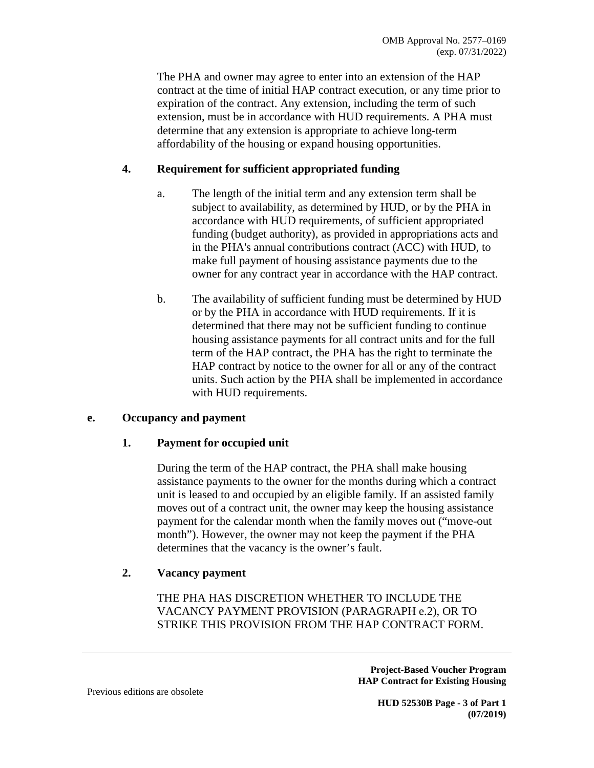The PHA and owner may agree to enter into an extension of the HAP contract at the time of initial HAP contract execution, or any time prior to expiration of the contract. Any extension, including the term of such extension, must be in accordance with HUD requirements. A PHA must determine that any extension is appropriate to achieve long-term affordability of the housing or expand housing opportunities.

# **4. Requirement for sufficient appropriated funding**

- a. The length of the initial term and any extension term shall be subject to availability, as determined by HUD, or by the PHA in accordance with HUD requirements, of sufficient appropriated funding (budget authority), as provided in appropriations acts and in the PHA's annual contributions contract (ACC) with HUD, to make full payment of housing assistance payments due to the owner for any contract year in accordance with the HAP contract.
- b. The availability of sufficient funding must be determined by HUD or by the PHA in accordance with HUD requirements. If it is determined that there may not be sufficient funding to continue housing assistance payments for all contract units and for the full term of the HAP contract, the PHA has the right to terminate the HAP contract by notice to the owner for all or any of the contract units. Such action by the PHA shall be implemented in accordance with HUD requirements.

### **e. Occupancy and payment**

### **1. Payment for occupied unit**

During the term of the HAP contract, the PHA shall make housing assistance payments to the owner for the months during which a contract unit is leased to and occupied by an eligible family. If an assisted family moves out of a contract unit, the owner may keep the housing assistance payment for the calendar month when the family moves out ("move-out month"). However, the owner may not keep the payment if the PHA determines that the vacancy is the owner's fault.

### **2. Vacancy payment**

THE PHA HAS DISCRETION WHETHER TO INCLUDE THE VACANCY PAYMENT PROVISION (PARAGRAPH e.2), OR TO STRIKE THIS PROVISION FROM THE HAP CONTRACT FORM.

> **Project-Based Voucher Program HAP Contract for Existing Housing**

Previous editions are obsolete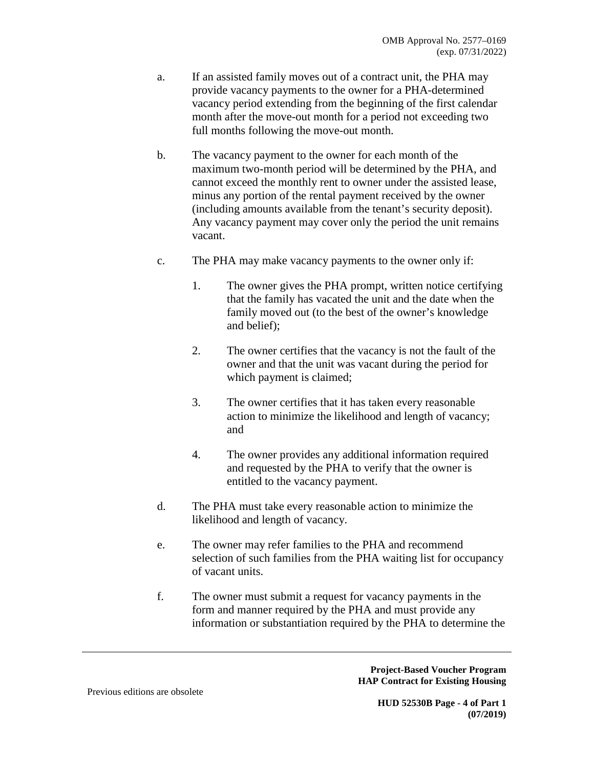- a. If an assisted family moves out of a contract unit, the PHA may provide vacancy payments to the owner for a PHA-determined vacancy period extending from the beginning of the first calendar month after the move-out month for a period not exceeding two full months following the move-out month.
- b. The vacancy payment to the owner for each month of the maximum two-month period will be determined by the PHA, and cannot exceed the monthly rent to owner under the assisted lease, minus any portion of the rental payment received by the owner (including amounts available from the tenant's security deposit). Any vacancy payment may cover only the period the unit remains vacant.
- c. The PHA may make vacancy payments to the owner only if:
	- 1. The owner gives the PHA prompt, written notice certifying that the family has vacated the unit and the date when the family moved out (to the best of the owner's knowledge and belief);
	- 2. The owner certifies that the vacancy is not the fault of the owner and that the unit was vacant during the period for which payment is claimed;
	- 3. The owner certifies that it has taken every reasonable action to minimize the likelihood and length of vacancy; and
	- 4. The owner provides any additional information required and requested by the PHA to verify that the owner is entitled to the vacancy payment.
- d. The PHA must take every reasonable action to minimize the likelihood and length of vacancy.
- e. The owner may refer families to the PHA and recommend selection of such families from the PHA waiting list for occupancy of vacant units.
- f. The owner must submit a request for vacancy payments in the form and manner required by the PHA and must provide any information or substantiation required by the PHA to determine the

**Project-Based Voucher Program HAP Contract for Existing Housing**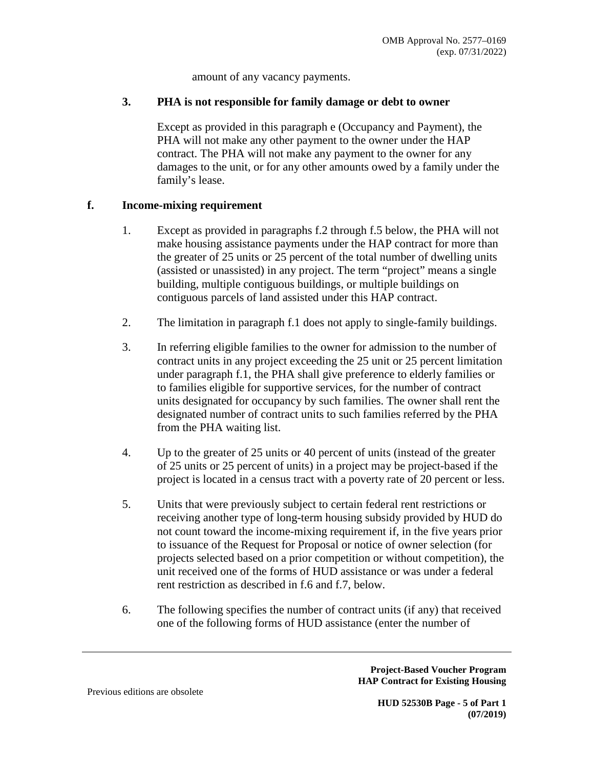amount of any vacancy payments.

## **3. PHA is not responsible for family damage or debt to owner**

Except as provided in this paragraph e (Occupancy and Payment), the PHA will not make any other payment to the owner under the HAP contract. The PHA will not make any payment to the owner for any damages to the unit, or for any other amounts owed by a family under the family's lease.

## **f. Income-mixing requirement**

- 1. Except as provided in paragraphs f.2 through f.5 below, the PHA will not make housing assistance payments under the HAP contract for more than the greater of 25 units or 25 percent of the total number of dwelling units (assisted or unassisted) in any project. The term "project" means a single building, multiple contiguous buildings, or multiple buildings on contiguous parcels of land assisted under this HAP contract.
- 2. The limitation in paragraph f.1 does not apply to single-family buildings.
- 3. In referring eligible families to the owner for admission to the number of contract units in any project exceeding the 25 unit or 25 percent limitation under paragraph f.1, the PHA shall give preference to elderly families or to families eligible for supportive services, for the number of contract units designated for occupancy by such families. The owner shall rent the designated number of contract units to such families referred by the PHA from the PHA waiting list.
- 4. Up to the greater of 25 units or 40 percent of units (instead of the greater of 25 units or 25 percent of units) in a project may be project-based if the project is located in a census tract with a poverty rate of 20 percent or less.
- 5. Units that were previously subject to certain federal rent restrictions or receiving another type of long-term housing subsidy provided by HUD do not count toward the income-mixing requirement if, in the five years prior to issuance of the Request for Proposal or notice of owner selection (for projects selected based on a prior competition or without competition), the unit received one of the forms of HUD assistance or was under a federal rent restriction as described in f.6 and f.7, below.
- 6. The following specifies the number of contract units (if any) that received one of the following forms of HUD assistance (enter the number of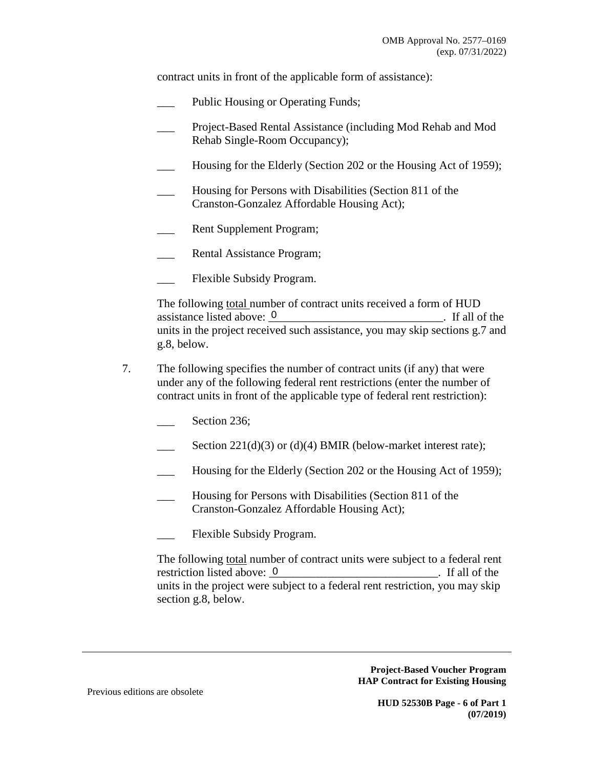contract units in front of the applicable form of assistance):

- Public Housing or Operating Funds;
- \_\_\_ Project-Based Rental Assistance (including Mod Rehab and Mod Rehab Single-Room Occupancy);
- Housing for the Elderly (Section 202 or the Housing Act of 1959);
- Housing for Persons with Disabilities (Section 811 of the Cranston-Gonzalez Affordable Housing Act);
- Rent Supplement Program;
- Rental Assistance Program;
- Flexible Subsidy Program.

The following total number of contract units received a form of HUD  $\Box$  If all of the units in the project received such assistance, you may skip sections g.7 and g.8, below. assistance listed above: 0

- 7. The following specifies the number of contract units (if any) that were under any of the following federal rent restrictions (enter the number of contract units in front of the applicable type of federal rent restriction):
	- Section 236;
	- Section  $221(d)(3)$  or (d)(4) BMIR (below-market interest rate);
	- Housing for the Elderly (Section 202 or the Housing Act of 1959);
	- Housing for Persons with Disabilities (Section 811 of the Cranston-Gonzalez Affordable Housing Act);
	- Flexible Subsidy Program.

The following total number of contract units were subject to a federal rent  $\Gamma$  is the list of the list of the stated above:  $\Gamma$ units in the project were subject to a federal rent restriction, you may skip section g.8, below. restriction listed above: 0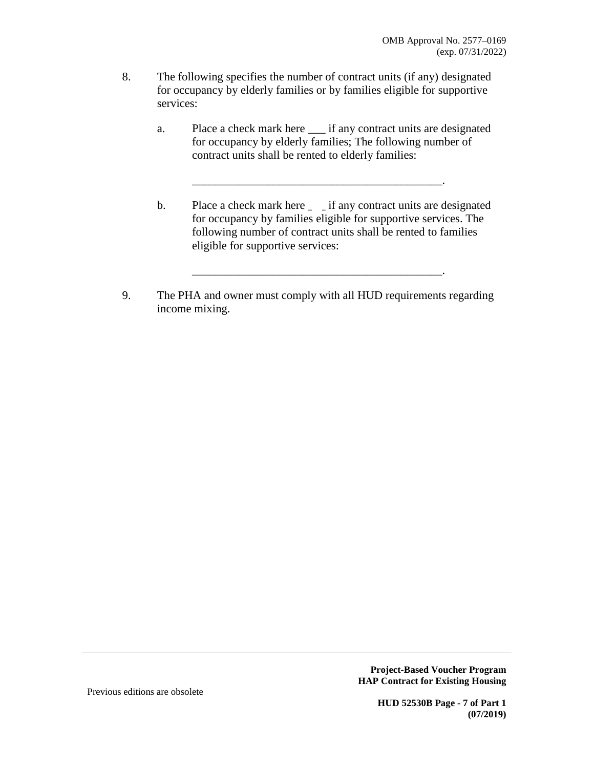- 8. The following specifies the number of contract units (if any) designated for occupancy by elderly families or by families eligible for supportive services:
	- a. Place a check mark here \_\_\_ if any contract units are designated for occupancy by elderly families; The following number of contract units shall be rented to elderly families:

\_\_\_\_\_\_\_\_\_\_\_\_\_\_\_\_\_\_\_\_\_\_\_\_\_\_\_\_\_\_\_\_\_\_\_\_\_\_\_\_\_\_\_.

b. Place a check mark here <u>equility</u> if any contract units are designated for occupancy by families eligible for supportive services. The following number of contract units shall be rented to families eligible for supportive services:

\_\_\_\_\_\_\_\_\_\_\_\_\_\_\_\_\_\_\_\_\_\_\_\_\_\_\_\_\_\_\_\_\_\_\_\_\_\_\_\_\_\_\_.

9. The PHA and owner must comply with all HUD requirements regarding income mixing.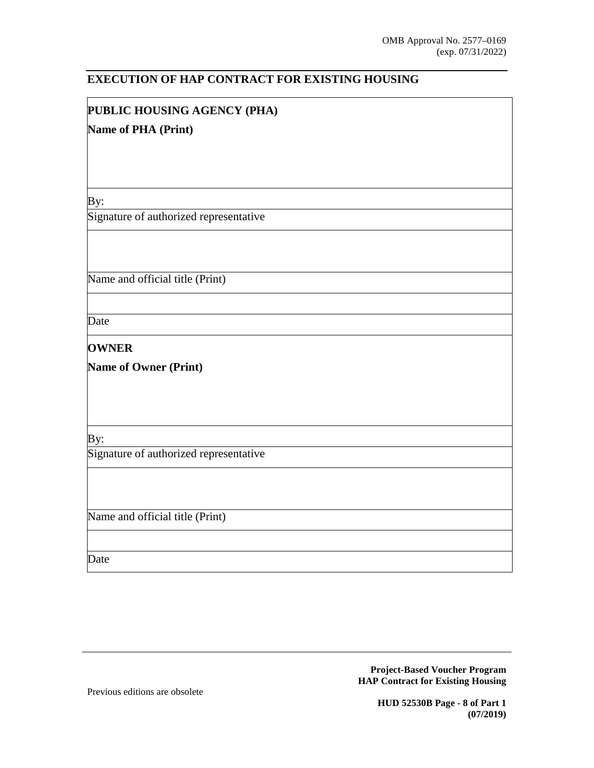### **EXECUTION OF HAP CONTRACT FOR EXISTING HOUSING**

# **PUBLIC HOUSING AGENCY (PHA)**

#### **Name of PHA (Print)**

By:

Signature of authorized representative

Name and official title (Print)

Date

**OWNER** 

**Name of Owner (Print)**

By:

Signature of authorized representative

Name and official title (Print)

Date

**Project-Based Voucher Program HAP Contract for Existing Housing** 

Previous editions are obsolete

**HUD 52530B Page - 8 of Part 1 (07/2019)**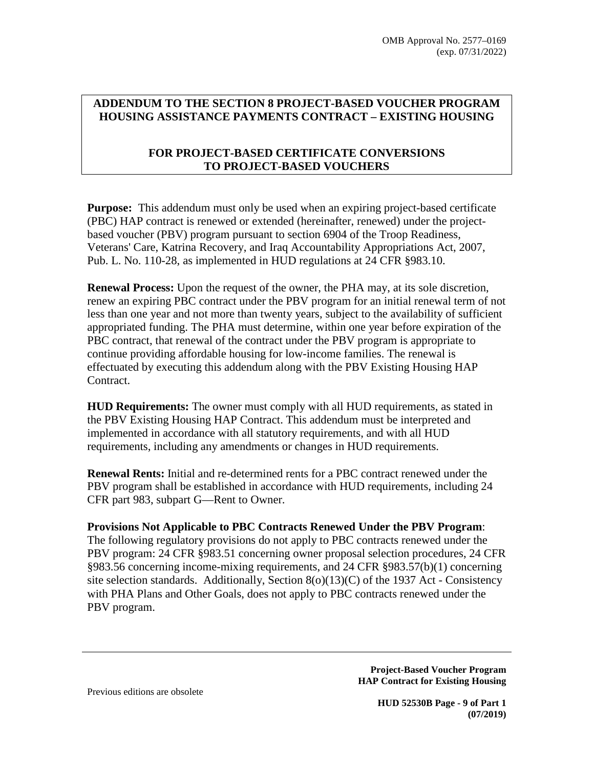# **ADDENDUM TO THE SECTION 8 PROJECT-BASED VOUCHER PROGRAM HOUSING ASSISTANCE PAYMENTS CONTRACT – EXISTING HOUSING**

## **FOR PROJECT-BASED CERTIFICATE CONVERSIONS TO PROJECT-BASED VOUCHERS**

**Purpose:** This addendum must only be used when an expiring project-based certificate (PBC) HAP contract is renewed or extended (hereinafter, renewed) under the projectbased voucher (PBV) program pursuant to section 6904 of the Troop Readiness, Veterans' Care, Katrina Recovery, and Iraq Accountability Appropriations Act, 2007, Pub. L. No. 110-28, as implemented in HUD regulations at 24 CFR §983.10.

**Renewal Process:** Upon the request of the owner, the PHA may, at its sole discretion, renew an expiring PBC contract under the PBV program for an initial renewal term of not less than one year and not more than twenty years, subject to the availability of sufficient appropriated funding. The PHA must determine, within one year before expiration of the PBC contract, that renewal of the contract under the PBV program is appropriate to continue providing affordable housing for low-income families. The renewal is effectuated by executing this addendum along with the PBV Existing Housing HAP Contract.

**HUD Requirements:** The owner must comply with all HUD requirements, as stated in the PBV Existing Housing HAP Contract. This addendum must be interpreted and implemented in accordance with all statutory requirements, and with all HUD requirements, including any amendments or changes in HUD requirements.

**Renewal Rents:** Initial and re-determined rents for a PBC contract renewed under the PBV program shall be established in accordance with HUD requirements, including 24 CFR part 983, subpart G—Rent to Owner.

### **Provisions Not Applicable to PBC Contracts Renewed Under the PBV Program**:

The following regulatory provisions do not apply to PBC contracts renewed under the PBV program: 24 CFR §983.51 concerning owner proposal selection procedures, 24 CFR §983.56 concerning income-mixing requirements, and 24 CFR §983.57(b)(1) concerning site selection standards. Additionally, Section 8(o)(13)(C) of the 1937 Act - Consistency with PHA Plans and Other Goals, does not apply to PBC contracts renewed under the PBV program.

> **Project-Based Voucher Program HAP Contract for Existing Housing**

Previous editions are obsolete

**HUD 52530B Page - 9 of Part 1 (07/2019)**